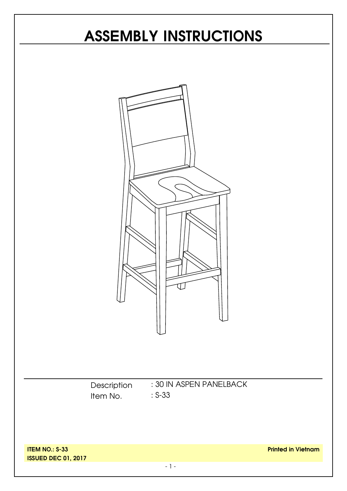# **ASSEMBLY INSTRUCTIONS**

| : 30 IN ASPEN PANELBACK<br>Description |                     |
|----------------------------------------|---------------------|
| $: S-33$<br>Item No.                   |                     |
| $0.: S-33$                             | <b>Printed in \</b> |

**ITEM NO ISSUED DEC 01, 2017** **Vietnam**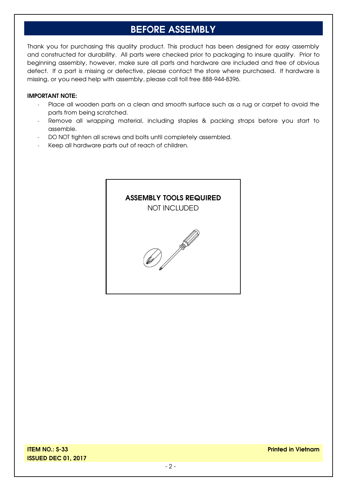#### **BEFORE ASSEMBLY**

Thank you for purchasing this quality product. This product has been designed for easy assembly and constructed for durability. All parts were checked prior to packaging to insure quality. Prior to beginning assembly, however, make sure all parts and hardware are included and free of obvious defect. If a part is missing or defective, please contact the store where purchased. If hardware is missing, or you need help with assembly, please call toll free 888-944-8396.

#### **IMPORTANT NOTE:**

- Place all wooden parts on a clean and smooth surface such as a rug or carpet to avoid the parts from being scratched.
- Remove all wrapping material, including staples & packing straps before you start to assemble.
- DO NOT tighten all screws and bolts until completely assembled.
- Keep all hardware parts out of reach of children.



**Printed in Vietnam**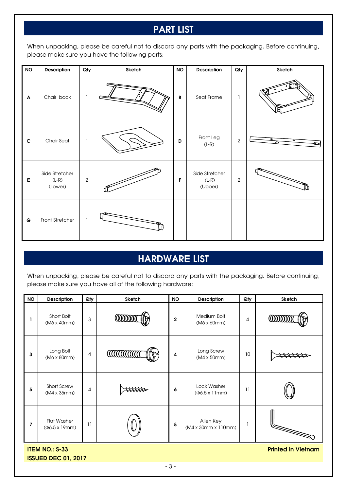#### **PART LIST**

When unpacking, please be careful not to discard any parts with the packaging. Before continuing, please make sure you have the following parts:

| <b>NO</b>   | Description                          | Qty            | Sketch | NO | Description                          | Qty            | Sketch              |
|-------------|--------------------------------------|----------------|--------|----|--------------------------------------|----------------|---------------------|
| A           | Chair back                           | -1             |        | B  | Seat Frame                           | 1              | l® oo<br>$\bullet$  |
| $\mathbf C$ | Chair Seat                           | 1              |        | D  | Front Leg<br>$(L-R)$                 | $\overline{2}$ | $\bullet$<br>ಕ<br>៑ |
| Е           | Side Stretcher<br>$(L-R)$<br>(Lower) | $\sqrt{2}$     |        | F  | Side Stretcher<br>$(L-R)$<br>(Upper) | $\sqrt{2}$     |                     |
| G           | Front Stretcher                      | $\overline{1}$ |        |    |                                      |                |                     |

### **HARDWARE LIST**

When unpacking, please be careful not to discard any parts with the packaging. Before continuing, please make sure you have all of the following hardware:

| <b>NO</b>                                                                        | <b>Description</b>                                 | Qty | <b>Sketch</b>    | <b>NO</b>    | <b>Description</b>                        | Qty          | <b>Sketch</b>  |
|----------------------------------------------------------------------------------|----------------------------------------------------|-----|------------------|--------------|-------------------------------------------|--------------|----------------|
|                                                                                  | Short Bolt<br>(M6 x 40mm)                          | 3   | <b>CONTROL</b>   | $\mathbf{2}$ | Medium Bolt<br>$(M6 \times 60 \text{mm})$ | 4            | <b>CONTROL</b> |
| 3                                                                                | Long Bolt<br>(M6 x 80mm)                           | 4   | <b>CONTINUES</b> | 4            | Long Screw<br>$(M4 \times 50 \text{mm})$  | 10           |                |
| 5                                                                                | <b>Short Screw</b><br>(M4 x 35mm)                  | 4   |                  | 6            | Lock Washer<br>$(\Phi6.5 \times 11)$ mm)  | 11           |                |
| $\overline{7}$                                                                   | <b>Flat Washer</b><br>$(46.5 \times 19 \text{mm})$ | 11  |                  | 8            | Allen Key<br>(M4 x 30mm x 110mm)          | $\mathbf{I}$ |                |
| <b>ITEM NO.: S-33</b><br><b>Printed in Vietnam</b><br><b>ISSUED DEC 01, 2017</b> |                                                    |     |                  |              |                                           |              |                |

- 3 -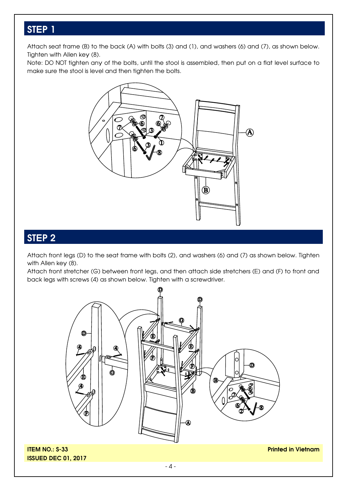#### **STEP 1**

Attach seat frame (B) to the back (A) with bolts (3) and (1), and washers (6) and (7), as shown below. Tighten with Allen key (8).

Note: DO NOT tighten any of the bolts, until the stool is assembled, then put on a flat level surface to make sure the stool is level and then tighten the bolts.



#### **STEP 2**

Attach front legs (D) to the seat frame with bolts (2), and washers (6) and (7) as shown below. Tighten with Allen key (8).

Attach front stretcher (G) between front legs, and then attach side stretchers (E) and (F) to front and back legs with screws (4) as shown below. Tighten with a screwdriver.



**Printed in Vietnam**